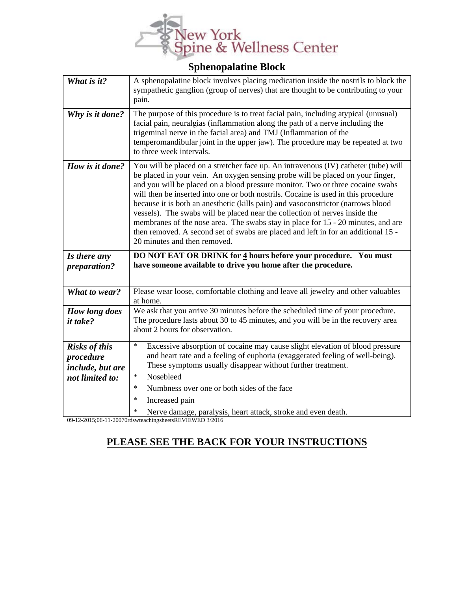

## **Sphenopalatine Block**

| What is it?                                                              | A sphenopalatine block involves placing medication inside the nostrils to block the<br>sympathetic ganglion (group of nerves) that are thought to be contributing to your<br>pain.                                                                                                                                                                                                                                                                                                                                                                                                                                                                                                                                        |
|--------------------------------------------------------------------------|---------------------------------------------------------------------------------------------------------------------------------------------------------------------------------------------------------------------------------------------------------------------------------------------------------------------------------------------------------------------------------------------------------------------------------------------------------------------------------------------------------------------------------------------------------------------------------------------------------------------------------------------------------------------------------------------------------------------------|
| Why is it done?                                                          | The purpose of this procedure is to treat facial pain, including atypical (unusual)<br>facial pain, neuralgias (inflammation along the path of a nerve including the<br>trigeminal nerve in the facial area) and TMJ (Inflammation of the<br>temperomandibular joint in the upper jaw). The procedure may be repeated at two<br>to three week intervals.                                                                                                                                                                                                                                                                                                                                                                  |
| How is it done?                                                          | You will be placed on a stretcher face up. An intravenous (IV) catheter (tube) will<br>be placed in your vein. An oxygen sensing probe will be placed on your finger,<br>and you will be placed on a blood pressure monitor. Two or three cocaine swabs<br>will then be inserted into one or both nostrils. Cocaine is used in this procedure<br>because it is both an anesthetic (kills pain) and vasoconstrictor (narrows blood<br>vessels). The swabs will be placed near the collection of nerves inside the<br>membranes of the nose area. The swabs stay in place for 15 - 20 minutes, and are<br>then removed. A second set of swabs are placed and left in for an additional 15 -<br>20 minutes and then removed. |
| Is there any<br>preparation?                                             | DO NOT EAT OR DRINK for 4 hours before your procedure. You must                                                                                                                                                                                                                                                                                                                                                                                                                                                                                                                                                                                                                                                           |
|                                                                          | have someone available to drive you home after the procedure.                                                                                                                                                                                                                                                                                                                                                                                                                                                                                                                                                                                                                                                             |
| What to wear?                                                            | Please wear loose, comfortable clothing and leave all jewelry and other valuables<br>at home.                                                                                                                                                                                                                                                                                                                                                                                                                                                                                                                                                                                                                             |
| How long does<br><i>it take?</i>                                         | We ask that you arrive 30 minutes before the scheduled time of your procedure.<br>The procedure lasts about 30 to 45 minutes, and you will be in the recovery area<br>about 2 hours for observation.                                                                                                                                                                                                                                                                                                                                                                                                                                                                                                                      |
| <b>Risks of this</b><br>procedure<br>include, but are<br>not limited to: | $\ast$<br>Excessive absorption of cocaine may cause slight elevation of blood pressure<br>and heart rate and a feeling of euphoria (exaggerated feeling of well-being).<br>These symptoms usually disappear without further treatment.<br>$\ast$<br>Nosebleed<br>$\ast$<br>Numbness over one or both sides of the face                                                                                                                                                                                                                                                                                                                                                                                                    |

09-12-2015;06-11-20070rdswteachingsheetsREVIEWED 3/2016

## **PLEASE SEE THE BACK FOR YOUR INSTRUCTIONS**